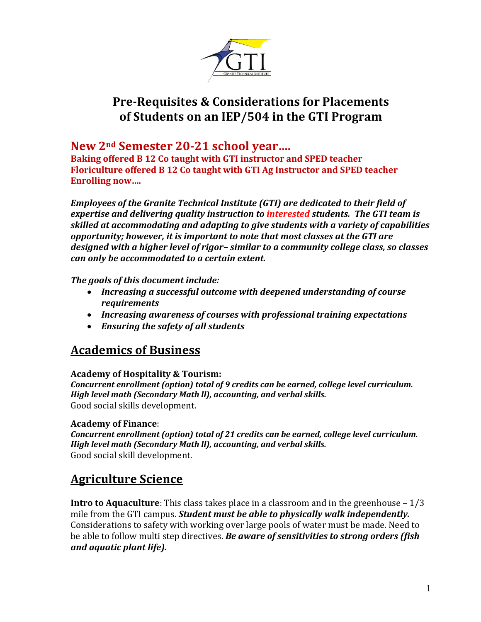

# **Pre-Requisites & Considerations for Placements of Students on an IEP/504 in the GTI Program**

## **New 2nd Semester 20-21 school year….**

**Baking offered B 12 Co taught with GTI instructor and SPED teacher Floriculture offered B 12 Co taught with GTI Ag Instructor and SPED teacher Enrolling now….**

*Employees of the Granite Technical Institute (GTI) are dedicated to their field of expertise and delivering quality instruction to interested students. The GTI team is skilled at accommodating and adapting to give students with a variety of capabilities opportunity; however, it is important to note that most classes at the GTI are designed with a higher level of rigor– similar to a community college class, so classes can only be accommodated to a certain extent.* 

## *The goals of this document include:*

- *Increasing a successful outcome with deepened understanding of course requirements*
- *Increasing awareness of courses with professional training expectations*
- *Ensuring the safety of all students*

# **Academics of Business**

## **Academy of Hospitality & Tourism:**

*Concurrent enrollment (option) total of 9 credits can be earned, college level curriculum. High level math (Secondary Math ll), accounting, and verbal skills.* Good social skills development.

## **Academy of Finance**:

*Concurrent enrollment (option) total of 21 credits can be earned, college level curriculum. High level math (Secondary Math ll), accounting, and verbal skills.* Good social skill development.

# **Agriculture Science**

**Intro to Aquaculture**: This class takes place in a classroom and in the greenhouse – 1/3 mile from the GTI campus. *Student must be able to physically walk independently.* Considerations to safety with working over large pools of water must be made. Need to be able to follow multi step directives. *Be aware of sensitivities to strong orders (fish and aquatic plant life).*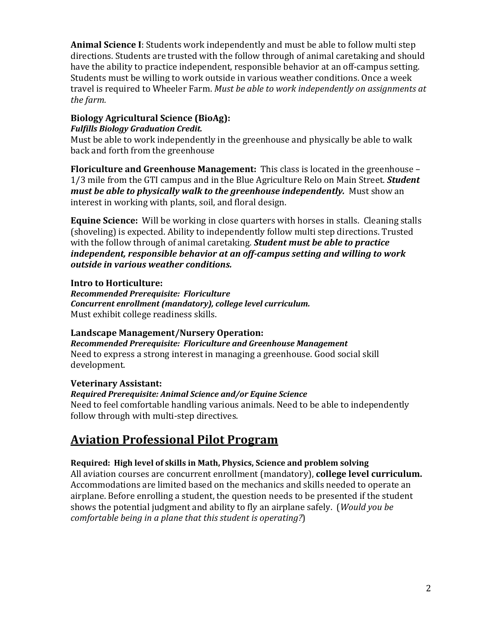**Animal Science I**: Students work independently and must be able to follow multi step directions. Students are trusted with the follow through of animal caretaking and should have the ability to practice independent, responsible behavior at an off-campus setting. Students must be willing to work outside in various weather conditions. Once a week travel is required to Wheeler Farm. *Must be able to work independently on assignments at the farm.*

## **Biology Agricultural Science (BioAg):**

## *Fulfills Biology Graduation Credit.*

Must be able to work independently in the greenhouse and physically be able to walk back and forth from the greenhouse

**Floriculture and Greenhouse Management:** This class is located in the greenhouse – 1/3 mile from the GTI campus and in the Blue Agriculture Relo on Main Street. *Student must be able to physically walk to the greenhouse independently.* Must show an interest in working with plants, soil, and floral design.

**Equine Science:** Will be working in close quarters with horses in stalls. Cleaning stalls (shoveling) is expected. Ability to independently follow multi step directions. Trusted with the follow through of animal caretaking. *Student must be able to practice independent, responsible behavior at an off-campus setting and willing to work outside in various weather conditions.* 

## **Intro to Horticulture:**

*Recommended Prerequisite: Floriculture Concurrent enrollment (mandatory), college level curriculum.*  Must exhibit college readiness skills.

## **Landscape Management/Nursery Operation:**

*Recommended Prerequisite: Floriculture and Greenhouse Management*  Need to express a strong interest in managing a greenhouse. Good social skill development.

## **Veterinary Assistant:**

## *Required Prerequisite: Animal Science and/or Equine Science*

Need to feel comfortable handling various animals. Need to be able to independently follow through with multi-step directives.

# **Aviation Professional Pilot Program**

## **Required: High level of skills in Math, Physics, Science and problem solving**

All aviation courses are concurrent enrollment (mandatory), **college level curriculum.** Accommodations are limited based on the mechanics and skills needed to operate an airplane. Before enrolling a student, the question needs to be presented if the student shows the potential judgment and ability to fly an airplane safely. (*Would you be comfortable being in a plane that this student is operating?*)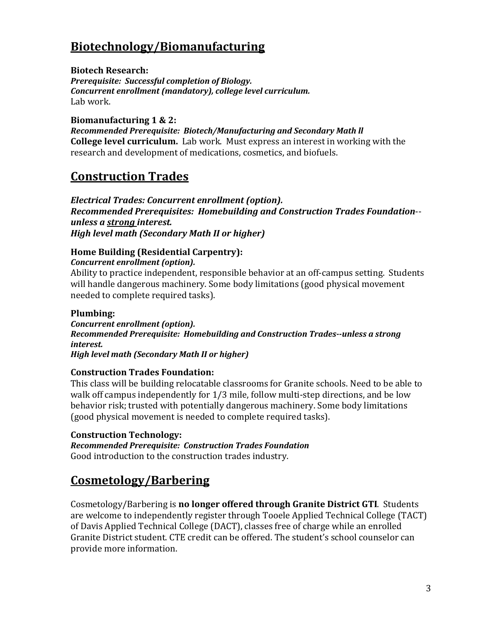# **Biotechnology/Biomanufacturing**

**Biotech Research:** *Prerequisite: Successful completion of Biology. Concurrent enrollment (mandatory), college level curriculum.*  Lab work.

**Biomanufacturing 1 & 2:**

*Recommended Prerequisite: Biotech/Manufacturing and Secondary Math ll* **College level curriculum.** Lab work. Must express an interest in working with the research and development of medications, cosmetics, and biofuels.

# **Construction Trades**

*Electrical Trades: Concurrent enrollment (option). Recommended Prerequisites: Homebuilding and Construction Trades Foundation*- *unless a strong interest. High level math (Secondary Math II or higher)*

## **Home Building (Residential Carpentry):**

*Concurrent enrollment (option).* 

Ability to practice independent, responsible behavior at an off-campus setting. Students will handle dangerous machinery. Some body limitations (good physical movement needed to complete required tasks).

## **Plumbing:**

*Concurrent enrollment (option). Recommended Prerequisite: Homebuilding and Construction Trades--unless a strong interest.* 

*High level math (Secondary Math II or higher)*

## **Construction Trades Foundation:**

This class will be building relocatable classrooms for Granite schools. Need to be able to walk off campus independently for 1/3 mile, follow multi-step directions, and be low behavior risk; trusted with potentially dangerous machinery. Some body limitations (good physical movement is needed to complete required tasks).

## **Construction Technology:**

*Recommended Prerequisite: Construction Trades Foundation*  Good introduction to the construction trades industry.

# **Cosmetology/Barbering**

Cosmetology/Barbering is **no longer offered through Granite District GTI**. Students are welcome to independently register through Tooele Applied Technical College (TACT) of Davis Applied Technical College (DACT), classes free of charge while an enrolled Granite District student. CTE credit can be offered. The student's school counselor can provide more information.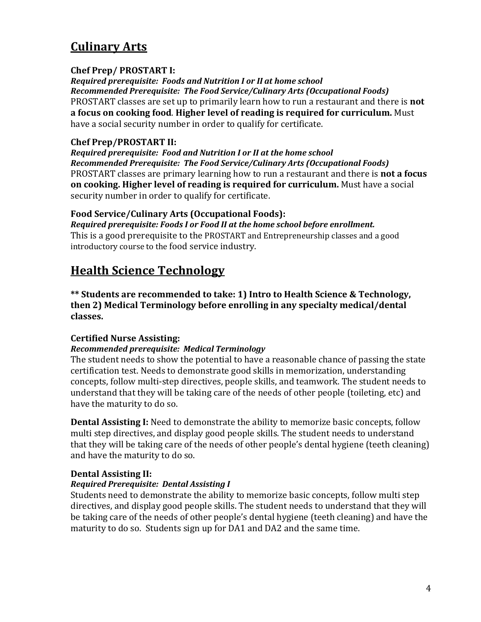# **Culinary Arts**

## **Chef Prep/ PROSTART I:**

*Required prerequisite: Foods and Nutrition I or II at home school Recommended Prerequisite: The Food Service/Culinary Arts (Occupational Foods)* PROSTART classes are set up to primarily learn how to run a restaurant and there is **not a focus on cooking food**. **Higher level of reading is required for curriculum.** Must have a social security number in order to qualify for certificate.

## **Chef Prep/PROSTART II:**

*Required prerequisite: Food and Nutrition I or II at the home school Recommended Prerequisite: The Food Service/Culinary Arts (Occupational Foods)* PROSTART classes are primary learning how to run a restaurant and there is **not a focus on cooking. Higher level of reading is required for curriculum.** Must have a social security number in order to qualify for certificate.

## **Food Service/Culinary Arts (Occupational Foods):**

*Required prerequisite: Foods I or Food II at the home school before enrollment.* This is a good prerequisite to the PROSTART and Entrepreneurship classes and a good introductory course to the food service industry.

# **Health Science Technology**

**\*\* Students are recommended to take: 1) Intro to Health Science & Technology, then 2) Medical Terminology before enrolling in any specialty medical/dental classes.** 

## **Certified Nurse Assisting:**

## *Recommended prerequisite: Medical Terminology*

The student needs to show the potential to have a reasonable chance of passing the state certification test. Needs to demonstrate good skills in memorization, understanding concepts, follow multi-step directives, people skills, and teamwork. The student needs to understand that they will be taking care of the needs of other people (toileting, etc) and have the maturity to do so.

**Dental Assisting I:** Need to demonstrate the ability to memorize basic concepts, follow multi step directives, and display good people skills. The student needs to understand that they will be taking care of the needs of other people's dental hygiene (teeth cleaning) and have the maturity to do so.

## **Dental Assisting II:**

## *Required Prerequisite: Dental Assisting I*

Students need to demonstrate the ability to memorize basic concepts, follow multi step directives, and display good people skills. The student needs to understand that they will be taking care of the needs of other people's dental hygiene (teeth cleaning) and have the maturity to do so. Students sign up for DA1 and DA2 and the same time.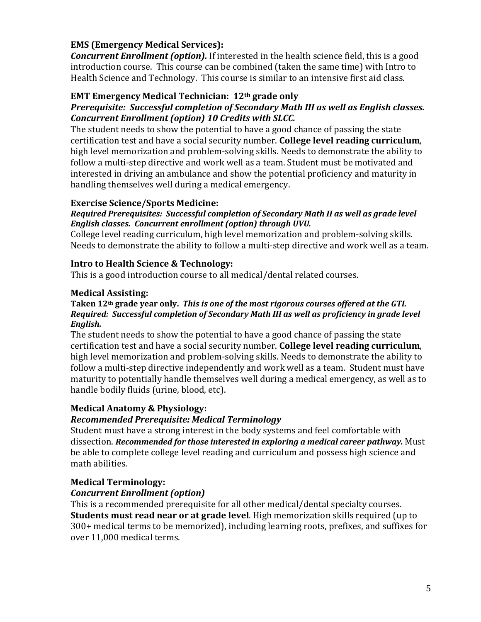## **EMS (Emergency Medical Services):**

*Concurrent Enrollment (option).* If interested in the health science field, this is a good introduction course. This course can be combined (taken the same time) with Intro to Health Science and Technology. This course is similar to an intensive first aid class.

## **EMT Emergency Medical Technician: 12th grade only**

## *Prerequisite: Successful completion of Secondary Math III as well as English classes. Concurrent Enrollment (option) 10 Credits with SLCC.*

The student needs to show the potential to have a good chance of passing the state certification test and have a social security number. **College level reading curriculum**, high level memorization and problem-solving skills. Needs to demonstrate the ability to follow a multi-step directive and work well as a team. Student must be motivated and interested in driving an ambulance and show the potential proficiency and maturity in handling themselves well during a medical emergency.

## **Exercise Science/Sports Medicine:**

#### *Required Prerequisites: Successful completion of Secondary Math II as well as grade level English classes. Concurrent enrollment (option) through UVU.*

College level reading curriculum, high level memorization and problem-solving skills. Needs to demonstrate the ability to follow a multi-step directive and work well as a team.

## **Intro to Health Science & Technology:**

This is a good introduction course to all medical/dental related courses.

## **Medical Assisting:**

#### **Taken 12th grade year only.** *This is one of the most rigorous courses offered at the GTI. Required: Successful completion of Secondary Math III as well as proficiency in grade level English.*

The student needs to show the potential to have a good chance of passing the state certification test and have a social security number. **College level reading curriculum**, high level memorization and problem-solving skills. Needs to demonstrate the ability to follow a multi-step directive independently and work well as a team. Student must have maturity to potentially handle themselves well during a medical emergency, as well as to handle bodily fluids (urine, blood, etc).

## **Medical Anatomy & Physiology:**

## *Recommended Prerequisite: Medical Terminology*

Student must have a strong interest in the body systems and feel comfortable with dissection. *Recommended for those interested in exploring a medical career pathway.* Must be able to complete college level reading and curriculum and possess high science and math abilities.

## **Medical Terminology:**

## *Concurrent Enrollment (option)*

This is a recommended prerequisite for all other medical/dental specialty courses. **Students must read near or at grade level**. High memorization skills required (up to 300+ medical terms to be memorized), including learning roots, prefixes, and suffixes for over 11,000 medical terms.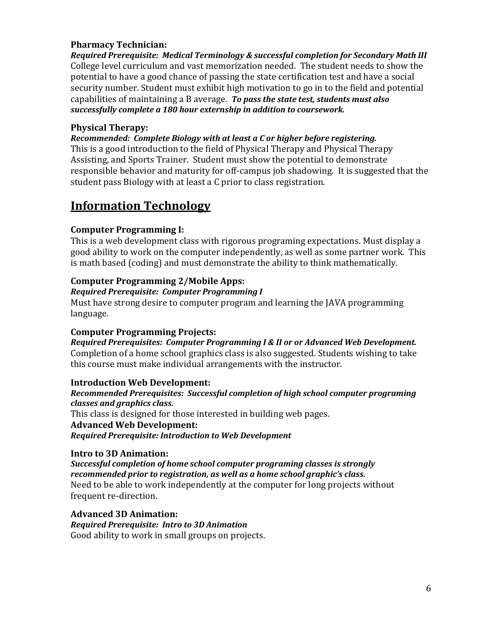## **Pharmacy Technician:**

*Required Prerequisite: Medical Terminology & successful completion for Secondary Math III* College level curriculum and vast memorization needed. The student needs to show the potential to have a good chance of passing the state certification test and have a social security number. Student must exhibit high motivation to go in to the field and potential capabilities of maintaining a B average. *To pass the state test, students must also successfully complete a 180 hour externship in addition to coursework.*

## **Physical Therapy:**

*Recommended: Complete Biology with at least a C or higher before registering.* This is a good introduction to the field of Physical Therapy and Physical Therapy Assisting, and Sports Trainer. Student must show the potential to demonstrate responsible behavior and maturity for off-campus job shadowing. It is suggested that the

student pass Biology with at least a C prior to class registration.

# **Information Technology**

## **Computer Programming I:**

This is a web development class with rigorous programing expectations. Must display a good ability to work on the computer independently, as well as some partner work. This is math based (coding) and must demonstrate the ability to think mathematically.

## **Computer Programming 2/Mobile Apps:**

## *Required Prerequisite: Computer Programming I*

Must have strong desire to computer program and learning the JAVA programming language.

## **Computer Programming Projects:**

*Required Prerequisites: Computer Programming I & II or or Advanced Web Development.*  Completion of a home school graphics class is also suggested. Students wishing to take this course must make individual arrangements with the instructor.

## **Introduction Web Development:**

*Recommended Prerequisites: Successful completion of high school computer programing classes and graphics class.*  This class is designed for those interested in building web pages. **Advanced Web Development:** *Required Prerequisite: Introduction to Web Development* 

## **Intro to 3D Animation:**

*Successful completion of home school computer programing classes is strongly recommended prior to registration, as well as a home school graphic's class.*  Need to be able to work independently at the computer for long projects without frequent re-direction.

## **Advanced 3D Animation:**

*Required Prerequisite: Intro to 3D Animation*  Good ability to work in small groups on projects.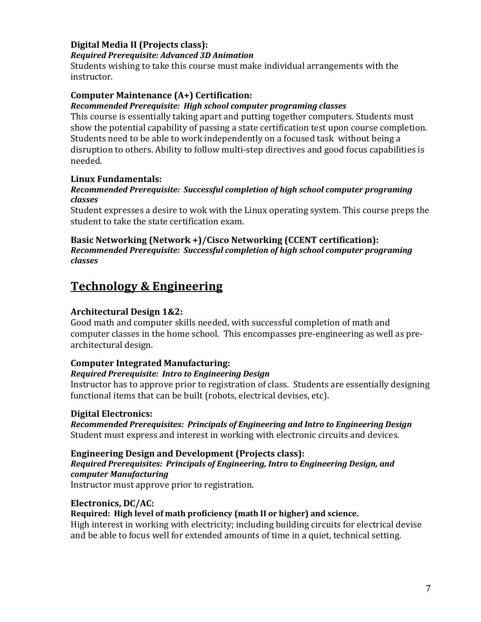## **Digital Media II (Projects class):**

#### *Required Prerequisite: Advanced 3D Animation*

Students wishing to take this course must make individual arrangements with the instructor.

## **Computer Maintenance (A+) Certification:**

#### *Recommended Prerequisite: High school computer programing classes*

This course is essentially taking apart and putting together computers. Students must show the potential capability of passing a state certification test upon course completion. Students need to be able to work independently on a focused task without being a disruption to others. Ability to follow multi-step directives and good focus capabilities is needed.

## **Linux Fundamentals:**

#### *Recommended Prerequisite: Successful completion of high school computer programing classes*

Student expresses a desire to wok with the Linux operating system. This course preps the student to take the state certification exam.

#### **Basic Networking (Network +)/Cisco Networking (CCENT certification):**  *Recommended Prerequisite: Successful completion of high school computer programing classes*

# **Technology & Engineering**

## **Architectural Design 1&2:**

Good math and computer skills needed, with successful completion of math and computer classes in the home school. This encompasses pre-engineering as well as prearchitectural design.

## **Computer Integrated Manufacturing:**

#### *Required Prerequisite: Intro to Engineering Design*

Instructor has to approve prior to registration of class. Students are essentially designing functional items that can be built (robots, electrical devises, etc).

## **Digital Electronics:**

*Recommended Prerequisites: Principals of Engineering and Intro to Engineering Design* Student must express and interest in working with electronic circuits and devices.

#### **Engineering Design and Development (Projects class):**

## *Required Prerequisites: Principals of Engineering, Intro to Engineering Design, and computer Manufacturing*

Instructor must approve prior to registration.

## **Electronics, DC/AC:**

## **Required: High level of math proficiency (math II or higher) and science.**

High interest in working with electricity; including building circuits for electrical devise and be able to focus well for extended amounts of time in a quiet, technical setting.